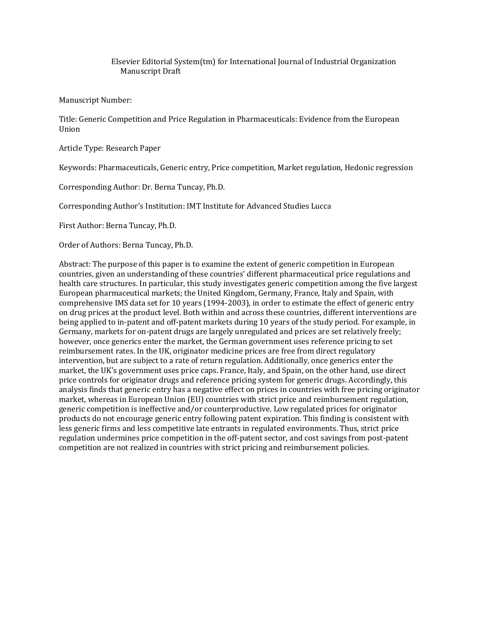# Elsevier Editorial System(tm) for International Journal of Industrial Organization Manuscript Draft

Manuscript Number:

Title: Generic Competition and Price Regulation in Pharmaceuticals: Evidence from the European Union

Article Type: Research Paper

Keywords: Pharmaceuticals, Generic entry, Price competition, Market regulation, Hedonic regression

Corresponding Author: Dr. Berna Tuncay, Ph.D.

Corresponding Author's Institution: IMT Institute for Advanced Studies Lucca

First Author: Berna Tuncay, Ph.D.

Order of Authors: Berna Tuncay, Ph.D.

Abstract: The purpose of this paper is to examine the extent of generic competition in European countries, given an understanding of these countries' different pharmaceutical price regulations and health care structures. In particular, this study investigates generic competition among the five largest European pharmaceutical markets; the United Kingdom, Germany, France, Italy and Spain, with comprehensive IMS data set for 10 years (1994-2003), in order to estimate the effect of generic entry on drug prices at the product level. Both within and across these countries, different interventions are being applied to in-patent and off-patent markets during 10 years of the study period. For example, in Germany, markets for on-patent drugs are largely unregulated and prices are set relatively freely; however, once generics enter the market, the German government uses reference pricing to set reimbursement rates. In the UK, originator medicine prices are free from direct regulatory intervention, but are subject to a rate of return regulation. Additionally, once generics enter the market, the UK's government uses price caps. France, Italy, and Spain, on the other hand, use direct price controls for originator drugs and reference pricing system for generic drugs. Accordingly, this analysis finds that generic entry has a negative effect on prices in countries with free pricing originator market, whereas in European Union (EU) countries with strict price and reimbursement regulation, generic competition is ineffective and/or counterproductive. Low regulated prices for originator products do not encourage generic entry following patent expiration. This finding is consistent with less generic firms and less competitive late entrants in regulated environments. Thus, strict price regulation undermines price competition in the off-patent sector, and cost savings from post-patent competition are not realized in countries with strict pricing and reimbursement policies.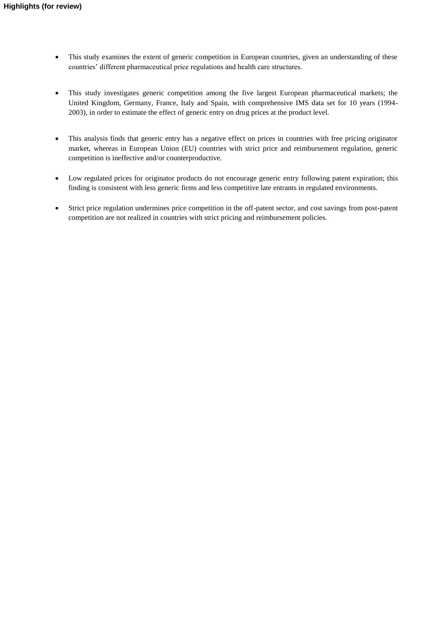- This study examines the extent of generic competition in European countries, given an understanding of these countries' different pharmaceutical price regulations and health care structures.
- This study investigates generic competition among the five largest European pharmaceutical markets; the United Kingdom, Germany, France, Italy and Spain, with comprehensive IMS data set for 10 years (1994- 2003), in order to estimate the effect of generic entry on drug prices at the product level.
- This analysis finds that generic entry has a negative effect on prices in countries with free pricing originator market, whereas in European Union (EU) countries with strict price and reimbursement regulation, generic competition is ineffective and/or counterproductive.
- Low regulated prices for originator products do not encourage generic entry following patent expiration; this finding is consistent with less generic firms and less competitive late entrants in regulated environments.
- Strict price regulation undermines price competition in the off-patent sector, and cost savings from post-patent competition are not realized in countries with strict pricing and reimbursement policies.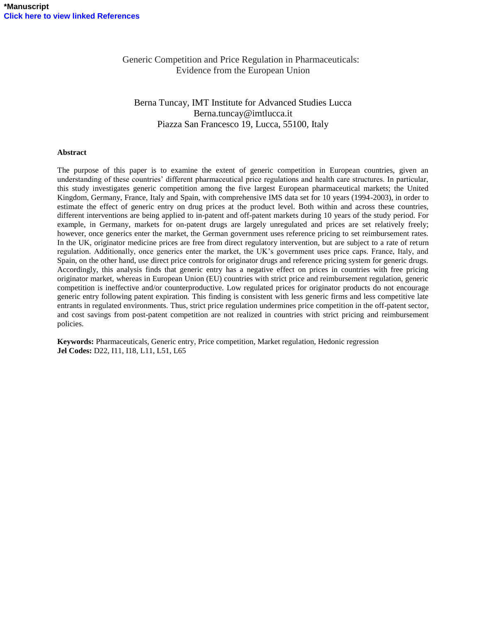Generic Competition and Price Regulation in Pharmaceuticals: Evidence from the European Union

# Berna Tuncay, IMT Institute for Advanced Studies Lucca Berna.tuncay@imtlucca.it Piazza San Francesco 19, Lucca, 55100, Italy

#### **Abstract**

The purpose of this paper is to examine the extent of generic competition in European countries, given an understanding of these countries' different pharmaceutical price regulations and health care structures. In particular, this study investigates generic competition among the five largest European pharmaceutical markets; the United Kingdom, Germany, France, Italy and Spain, with comprehensive IMS data set for 10 years (1994-2003), in order to estimate the effect of generic entry on drug prices at the product level. Both within and across these countries, different interventions are being applied to in-patent and off-patent markets during 10 years of the study period. For example, in Germany, markets for on-patent drugs are largely unregulated and prices are set relatively freely; however, once generics enter the market, the German government uses reference pricing to set reimbursement rates. In the UK, originator medicine prices are free from direct regulatory intervention, but are subject to a rate of return regulation. Additionally, once generics enter the market, the UK's government uses price caps. France, Italy, and Spain, on the other hand, use direct price controls for originator drugs and reference pricing system for generic drugs. Accordingly, this analysis finds that generic entry has a negative effect on prices in countries with free pricing originator market, whereas in European Union (EU) countries with strict price and reimbursement regulation, generic competition is ineffective and/or counterproductive. Low regulated prices for originator products do not encourage generic entry following patent expiration. This finding is consistent with less generic firms and less competitive late entrants in regulated environments. Thus, strict price regulation undermines price competition in the off-patent sector, and cost savings from post-patent competition are not realized in countries with strict pricing and reimbursement policies.

**Keywords:** Pharmaceuticals, Generic entry, Price competition, Market regulation, Hedonic regression **Jel Codes:** D22, I11, I18, L11, L51, L65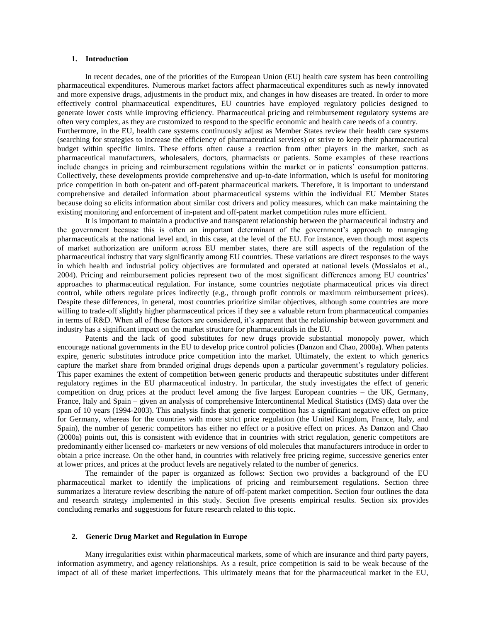#### **1. Introduction**

In recent decades, one of the priorities of the European Union (EU) health care system has been controlling pharmaceutical expenditures. Numerous market factors affect pharmaceutical expenditures such as newly innovated and more expensive drugs, adjustments in the product mix, and changes in how diseases are treated. In order to more effectively control pharmaceutical expenditures, EU countries have employed regulatory policies designed to generate lower costs while improving efficiency. Pharmaceutical pricing and reimbursement regulatory systems are often very complex, as they are customized to respond to the specific economic and health care needs of a country. Furthermore, in the EU, health care systems continuously adjust as Member States review their health care systems (searching for strategies to increase the efficiency of pharmaceutical services) or strive to keep their pharmaceutical budget within specific limits. These efforts often cause a reaction from other players in the market, such as pharmaceutical manufacturers, wholesalers, doctors, pharmacists or patients. Some examples of these reactions include changes in pricing and reimbursement regulations within the market or in patients' consumption patterns. Collectively, these developments provide comprehensive and up-to-date information, which is useful for monitoring price competition in both on-patent and off-patent pharmaceutical markets. Therefore, it is important to understand comprehensive and detailed information about pharmaceutical systems within the individual EU Member States because doing so elicits information about similar cost drivers and policy measures, which can make maintaining the existing monitoring and enforcement of in-patent and off-patent market competition rules more efficient.

It is important to maintain a productive and transparent relationship between the pharmaceutical industry and the government because this is often an important determinant of the government's approach to managing pharmaceuticals at the national level and, in this case, at the level of the EU. For instance, even though most aspects of market authorization are uniform across EU member states, there are still aspects of the regulation of the pharmaceutical industry that vary significantly among EU countries. These variations are direct responses to the ways in which health and industrial policy objectives are formulated and operated at national levels (Mossialos et al., 2004). Pricing and reimbursement policies represent two of the most significant differences among EU countries' approaches to pharmaceutical regulation. For instance, some countries negotiate pharmaceutical prices via direct control, while others regulate prices indirectly (e.g., through profit controls or maximum reimbursement prices). Despite these differences, in general, most countries prioritize similar objectives, although some countries are more willing to trade-off slightly higher pharmaceutical prices if they see a valuable return from pharmaceutical companies in terms of R&D. When all of these factors are considered, it's apparent that the relationship between government and industry has a significant impact on the market structure for pharmaceuticals in the EU.

Patents and the lack of good substitutes for new drugs provide substantial monopoly power, which encourage national governments in the EU to develop price control policies (Danzon and Chao, 2000a). When patents expire, generic substitutes introduce price competition into the market. Ultimately, the extent to which generics capture the market share from branded original drugs depends upon a particular government's regulatory policies. This paper examines the extent of competition between generic products and therapeutic substitutes under different regulatory regimes in the EU pharmaceutical industry. In particular, the study investigates the effect of generic competition on drug prices at the product level among the five largest European countries – the UK, Germany, France, Italy and Spain – given an analysis of comprehensive Intercontinental Medical Statistics (IMS) data over the span of 10 years (1994-2003). This analysis finds that generic competition has a significant negative effect on price for Germany, whereas for the countries with more strict price regulation (the United Kingdom, France, Italy, and Spain), the number of generic competitors has either no effect or a positive effect on prices. As Danzon and Chao (2000a) points out, this is consistent with evidence that in countries with strict regulation, generic competitors are predominantly either licensed co- marketers or new versions of old molecules that manufacturers introduce in order to obtain a price increase. On the other hand, in countries with relatively free pricing regime, successive generics enter at lower prices, and prices at the product levels are negatively related to the number of generics.

The remainder of the paper is organized as follows: Section two provides a background of the EU pharmaceutical market to identify the implications of pricing and reimbursement regulations. Section three summarizes a literature review describing the nature of off-patent market competition. Section four outlines the data and research strategy implemented in this study. Section five presents empirical results. Section six provides concluding remarks and suggestions for future research related to this topic.

## **2. Generic Drug Market and Regulation in Europe**

Many irregularities exist within pharmaceutical markets, some of which are insurance and third party payers, information asymmetry, and agency relationships. As a result, price competition is said to be weak because of the impact of all of these market imperfections. This ultimately means that for the pharmaceutical market in the EU,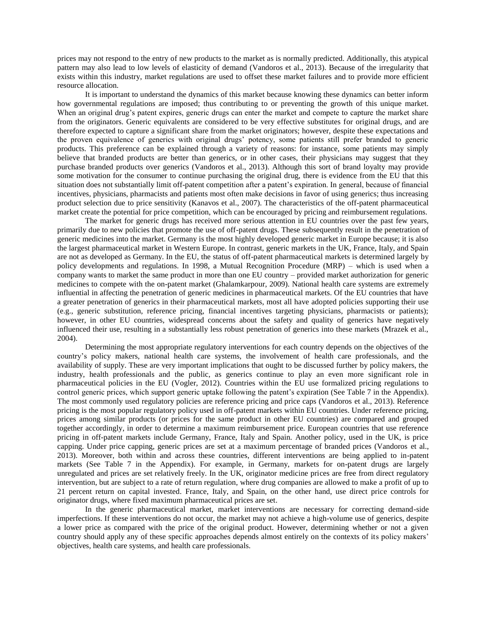prices may not respond to the entry of new products to the market as is normally predicted. Additionally, this atypical pattern may also lead to low levels of elasticity of demand (Vandoros et al., 2013). Because of the irregularity that exists within this industry, market regulations are used to offset these market failures and to provide more efficient resource allocation.

It is important to understand the dynamics of this market because knowing these dynamics can better inform how governmental regulations are imposed; thus contributing to or preventing the growth of this unique market. When an original drug's patent expires, generic drugs can enter the market and compete to capture the market share from the originators. Generic equivalents are considered to be very effective substitutes for original drugs, and are therefore expected to capture a significant share from the market originators; however, despite these expectations and the proven equivalence of generics with original drugs' potency, some patients still prefer branded to generic products. This preference can be explained through a variety of reasons: for instance, some patients may simply believe that branded products are better than generics, or in other cases, their physicians may suggest that they purchase branded products over generics (Vandoros et al., 2013). Although this sort of brand loyalty may provide some motivation for the consumer to continue purchasing the original drug, there is evidence from the EU that this situation does not substantially limit off-patent competition after a patent's expiration. In general, because of financial incentives, physicians, pharmacists and patients most often make decisions in favor of using generics; thus increasing product selection due to price sensitivity (Kanavos et al., 2007). The characteristics of the off-patent pharmaceutical market create the potential for price competition, which can be encouraged by pricing and reimbursement regulations.

The market for generic drugs has received more serious attention in EU countries over the past few years, primarily due to new policies that promote the use of off-patent drugs. These subsequently result in the penetration of generic medicines into the market. Germany is the most highly developed generic market in Europe because; it is also the largest pharmaceutical market in Western Europe. In contrast, generic markets in the UK, France, Italy, and Spain are not as developed as Germany. In the EU, the status of off-patent pharmaceutical markets is determined largely by policy developments and regulations. In 1998, a Mutual Recognition Procedure (MRP) – which is used when a company wants to market the same product in more than one EU country – provided market authorization for generic medicines to compete with the on-patent market (Ghalamkarpour, 2009). National health care systems are extremely influential in affecting the penetration of generic medicines in pharmaceutical markets. Of the EU countries that have a greater penetration of generics in their pharmaceutical markets, most all have adopted policies supporting their use (e.g., generic substitution, reference pricing, financial incentives targeting physicians, pharmacists or patients); however, in other EU countries, widespread concerns about the safety and quality of generics have negatively influenced their use, resulting in a substantially less robust penetration of generics into these markets (Mrazek et al., 2004).

Determining the most appropriate regulatory interventions for each country depends on the objectives of the country's policy makers, national health care systems, the involvement of health care professionals, and the availability of supply. These are very important implications that ought to be discussed further by policy makers, the industry, health professionals and the public, as generics continue to play an even more significant role in pharmaceutical policies in the EU (Vogler, 2012). Countries within the EU use formalized pricing regulations to control generic prices, which support generic uptake following the patent's expiration (See Table 7 in the Appendix). The most commonly used regulatory policies are reference pricing and price caps (Vandoros et al., 2013). Reference pricing is the most popular regulatory policy used in off-patent markets within EU countries. Under reference pricing, prices among similar products (or prices for the same product in other EU countries) are compared and grouped together accordingly, in order to determine a maximum reimbursement price. European countries that use reference pricing in off-patent markets include Germany, France, Italy and Spain. Another policy, used in the UK, is price capping. Under price capping, generic prices are set at a maximum percentage of branded prices (Vandoros et al., 2013). Moreover, both within and across these countries, different interventions are being applied to in-patent markets (See Table 7 in the Appendix). For example, in Germany, markets for on-patent drugs are largely unregulated and prices are set relatively freely. In the UK, originator medicine prices are free from direct regulatory intervention, but are subject to a rate of return regulation, where drug companies are allowed to make a profit of up to 21 percent return on capital invested. France, Italy, and Spain, on the other hand, use direct price controls for originator drugs, where fixed maximum pharmaceutical prices are set.

In the generic pharmaceutical market, market interventions are necessary for correcting demand-side imperfections. If these interventions do not occur, the market may not achieve a high-volume use of generics, despite a lower price as compared with the price of the original product. However, determining whether or not a given country should apply any of these specific approaches depends almost entirely on the contexts of its policy makers' objectives, health care systems, and health care professionals.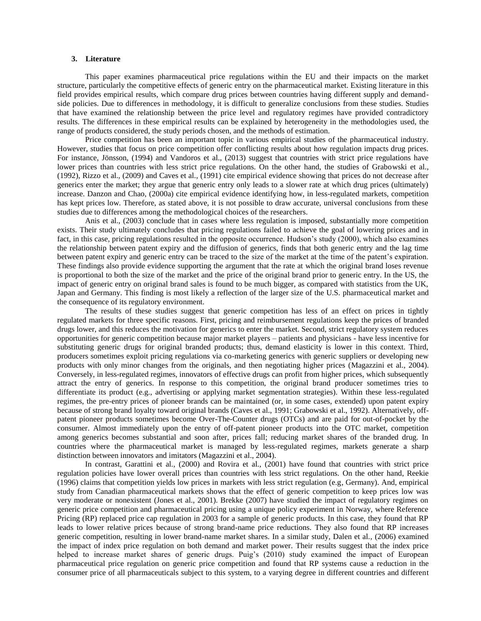#### **3. Literature**

This paper examines pharmaceutical price regulations within the EU and their impacts on the market structure, particularly the competitive effects of generic entry on the pharmaceutical market. Existing literature in this field provides empirical results, which compare drug prices between countries having different supply and demandside policies. Due to differences in methodology, it is difficult to generalize conclusions from these studies. Studies that have examined the relationship between the price level and regulatory regimes have provided contradictory results. The differences in these empirical results can be explained by heterogeneity in the methodologies used, the range of products considered, the study periods chosen, and the methods of estimation.

Price competition has been an important topic in various empirical studies of the pharmaceutical industry. However, studies that focus on price competition offer conflicting results about how regulation impacts drug prices. For instance, Jönsson, (1994) and Vandoros et al., (2013) suggest that countries with strict price regulations have lower prices than countries with less strict price regulations. On the other hand, the studies of Grabowski et al., (1992), Rizzo et al., (2009) and Caves et al., (1991) cite empirical evidence showing that prices do not decrease after generics enter the market; they argue that generic entry only leads to a slower rate at which drug prices (ultimately) increase. Danzon and Chao, (2000a) cite empirical evidence identifying how, in less-regulated markets, competition has kept prices low. Therefore, as stated above, it is not possible to draw accurate, universal conclusions from these studies due to differences among the methodological choices of the researchers.

Anis et al., (2003) conclude that in cases where less regulation is imposed, substantially more competition exists. Their study ultimately concludes that pricing regulations failed to achieve the goal of lowering prices and in fact, in this case, pricing regulations resulted in the opposite occurrence. Hudson's study (2000), which also examines the relationship between patent expiry and the diffusion of generics, finds that both generic entry and the lag time between patent expiry and generic entry can be traced to the size of the market at the time of the patent's expiration. These findings also provide evidence supporting the argument that the rate at which the original brand loses revenue is proportional to both the size of the market and the price of the original brand prior to generic entry. In the US, the impact of generic entry on original brand sales is found to be much bigger, as compared with statistics from the UK, Japan and Germany. This finding is most likely a reflection of the larger size of the U.S. pharmaceutical market and the consequence of its regulatory environment.

The results of these studies suggest that generic competition has less of an effect on prices in tightly regulated markets for three specific reasons. First, pricing and reimbursement regulations keep the prices of branded drugs lower, and this reduces the motivation for generics to enter the market. Second, strict regulatory system reduces opportunities for generic competition because major market players – patients and physicians - have less incentive for substituting generic drugs for original branded products; thus, demand elasticity is lower in this context. Third, producers sometimes exploit pricing regulations via co-marketing generics with generic suppliers or developing new products with only minor changes from the originals, and then negotiating higher prices (Magazzini et al., 2004). Conversely, in less-regulated regimes, innovators of effective drugs can profit from higher prices, which subsequently attract the entry of generics. In response to this competition, the original brand producer sometimes tries to differentiate its product (e.g., advertising or applying market segmentation strategies). Within these less-regulated regimes, the pre-entry prices of pioneer brands can be maintained (or, in some cases, extended) upon patent expiry because of strong brand loyalty toward original brands (Caves et al., 1991; Grabowski et al., 1992). Alternatively, offpatent pioneer products sometimes become Over-The-Counter drugs (OTCs) and are paid for out-of-pocket by the consumer. Almost immediately upon the entry of off-patent pioneer products into the OTC market, competition among generics becomes substantial and soon after, prices fall; reducing market shares of the branded drug. In countries where the pharmaceutical market is managed by less-regulated regimes, markets generate a sharp distinction between innovators and imitators (Magazzini et al., 2004).

In contrast, Garattini et al., (2000) and Rovira et al., (2001) have found that countries with strict price regulation policies have lower overall prices than countries with less strict regulations. On the other hand, Reekie (1996) claims that competition yields low prices in markets with less strict regulation (e.g, Germany). And, empirical study from Canadian pharmaceutical markets shows that the effect of generic competition to keep prices low was very moderate or nonexistent (Jones et al., 2001). Brekke (2007) have studied the impact of regulatory regimes on generic price competition and pharmaceutical pricing using a unique policy experiment in Norway, where Reference Pricing (RP) replaced price cap regulation in 2003 for a sample of generic products. In this case, they found that RP leads to lower relative prices because of strong brand-name price reductions. They also found that RP increases generic competition, resulting in lower brand-name market shares. In a similar study, Dalen et al., (2006) examined the impact of index price regulation on both demand and market power. Their results suggest that the index price helped to increase market shares of generic drugs. Puig's (2010) study examined the impact of European pharmaceutical price regulation on generic price competition and found that RP systems cause a reduction in the consumer price of all pharmaceuticals subject to this system, to a varying degree in different countries and different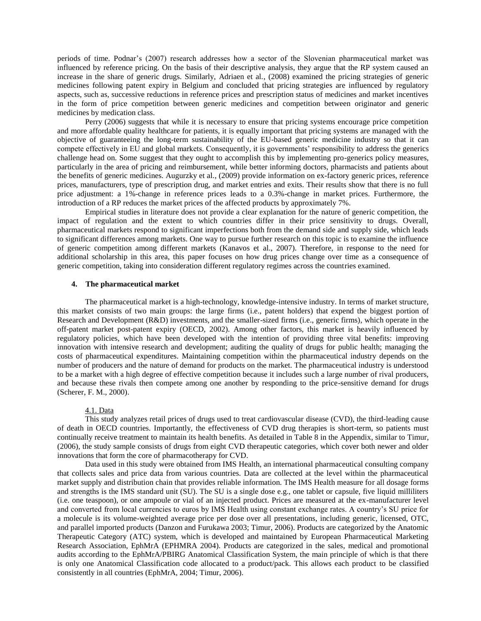periods of time. Podnar's (2007) research addresses how a sector of the Slovenian pharmaceutical market was influenced by reference pricing. On the basis of their descriptive analysis, they argue that the RP system caused an increase in the share of generic drugs. Similarly, Adriaen et al., (2008) examined the pricing strategies of generic medicines following patent expiry in Belgium and concluded that pricing strategies are influenced by regulatory aspects, such as, successive reductions in reference prices and prescription status of medicines and market incentives in the form of price competition between generic medicines and competition between originator and generic medicines by medication class.

Perry (2006) suggests that while it is necessary to ensure that pricing systems encourage price competition and more affordable quality healthcare for patients, it is equally important that pricing systems are managed with the objective of guaranteeing the long-term sustainability of the EU-based generic medicine industry so that it can compete effectively in EU and global markets. Consequently, it is governments' responsibility to address the generics challenge head on. Some suggest that they ought to accomplish this by implementing pro-generics policy measures, particularly in the area of pricing and reimbursement, while better informing doctors, pharmacists and patients about the benefits of generic medicines. Augurzky et al., (2009) provide information on ex-factory generic prices, reference prices, manufacturers, type of prescription drug, and market entries and exits. Their results show that there is no full price adjustment: a 1%-change in reference prices leads to a 0.3%-change in market prices. Furthermore, the introduction of a RP reduces the market prices of the affected products by approximately 7%.

Empirical studies in literature does not provide a clear explanation for the nature of generic competition, the impact of regulation and the extent to which countries differ in their price sensitivity to drugs. Overall, pharmaceutical markets respond to significant imperfections both from the demand side and supply side, which leads to significant differences among markets. One way to pursue further research on this topic is to examine the influence of generic competition among different markets (Kanavos et al., 2007). Therefore, in response to the need for additional scholarship in this area, this paper focuses on how drug prices change over time as a consequence of generic competition, taking into consideration different regulatory regimes across the countries examined.

### **4. The pharmaceutical market**

The pharmaceutical market is a high-technology, knowledge-intensive industry. In terms of market structure, this market consists of two main groups: the large firms (i.e., patent holders) that expend the biggest portion of Research and Development (R&D) investments, and the smaller-sized firms (i.e., generic firms), which operate in the off-patent market post-patent expiry (OECD, 2002). Among other factors, this market is heavily influenced by regulatory policies, which have been developed with the intention of providing three vital benefits: improving innovation with intensive research and development; auditing the quality of drugs for public health; managing the costs of pharmaceutical expenditures. Maintaining competition within the pharmaceutical industry depends on the number of producers and the nature of demand for products on the market. The pharmaceutical industry is understood to be a market with a high degree of effective competition because it includes such a large number of rival producers, and because these rivals then compete among one another by responding to the price-sensitive demand for drugs (Scherer, F. M., 2000).

#### 4.1. Data

This study analyzes retail prices of drugs used to treat cardiovascular disease (CVD), the third-leading cause of death in OECD countries. Importantly, the effectiveness of CVD drug therapies is short-term, so patients must continually receive treatment to maintain its health benefits. As detailed in Table 8 in the Appendix, similar to Timur, (2006), the study sample consists of drugs from eight CVD therapeutic categories, which cover both newer and older innovations that form the core of pharmacotherapy for CVD.

Data used in this study were obtained from IMS Health, an international pharmaceutical consulting company that collects sales and price data from various countries. Data are collected at the level within the pharmaceutical market supply and distribution chain that provides reliable information. The IMS Health measure for all dosage forms and strengths is the IMS standard unit (SU). The SU is a single dose e.g., one tablet or capsule, five liquid milliliters (i.e. one teaspoon), or one ampoule or vial of an injected product. Prices are measured at the ex-manufacturer level and converted from local currencies to euros by IMS Health using constant exchange rates. A country's SU price for a molecule is its volume-weighted average price per dose over all presentations, including generic, licensed, OTC, and parallel imported products (Danzon and Furukawa 2003; Timur, 2006). Products are categorized by the Anatomic Therapeutic Category (ATC) system, which is developed and maintained by European Pharmaceutical Marketing Research Association, EphMrA (EPHMRA 2004). Products are categorized in the sales, medical and promotional audits according to the EphMrA/PBIRG Anatomical Classification System, the main principle of which is that there is only one Anatomical Classification code allocated to a product/pack. This allows each product to be classified consistently in all countries (EphMrA, 2004; Timur, 2006).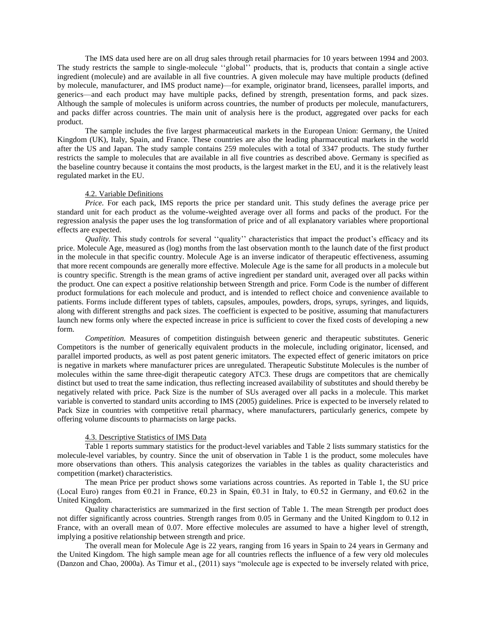The IMS data used here are on all drug sales through retail pharmacies for 10 years between 1994 and 2003. The study restricts the sample to single-molecule "global" products, that is, products that contain a single active ingredient (molecule) and are available in all five countries. A given molecule may have multiple products (defined by molecule, manufacturer, and IMS product name)—for example, originator brand, licensees, parallel imports, and generics—and each product may have multiple packs, defined by strength, presentation forms, and pack sizes. Although the sample of molecules is uniform across countries, the number of products per molecule, manufacturers, and packs differ across countries. The main unit of analysis here is the product, aggregated over packs for each product.

The sample includes the five largest pharmaceutical markets in the European Union: Germany, the United Kingdom (UK), Italy, Spain, and France. These countries are also the leading pharmaceutical markets in the world after the US and Japan. The study sample contains 259 molecules with a total of 3347 products. The study further restricts the sample to molecules that are available in all five countries as described above. Germany is specified as the baseline country because it contains the most products, is the largest market in the EU, and it is the relatively least regulated market in the EU.

#### 4.2. Variable Definitions

*Price.* For each pack, IMS reports the price per standard unit. This study defines the average price per standard unit for each product as the volume-weighted average over all forms and packs of the product. For the regression analysis the paper uses the log transformation of price and of all explanatory variables where proportional effects are expected.

*Quality*. This study controls for several "quality" characteristics that impact the product's efficacy and its price. Molecule Age, measured as (log) months from the last observation month to the launch date of the first product in the molecule in that specific country. Molecule Age is an inverse indicator of therapeutic effectiveness, assuming that more recent compounds are generally more effective. Molecule Age is the same for all products in a molecule but is country specific. Strength is the mean grams of active ingredient per standard unit, averaged over all packs within the product. One can expect a positive relationship between Strength and price. Form Code is the number of different product formulations for each molecule and product, and is intended to reflect choice and convenience available to patients. Forms include different types of tablets, capsules, ampoules, powders, drops, syrups, syringes, and liquids, along with different strengths and pack sizes. The coefficient is expected to be positive, assuming that manufacturers launch new forms only where the expected increase in price is sufficient to cover the fixed costs of developing a new form.

*Competition.* Measures of competition distinguish between generic and therapeutic substitutes. Generic Competitors is the number of generically equivalent products in the molecule, including originator, licensed, and parallel imported products, as well as post patent generic imitators. The expected effect of generic imitators on price is negative in markets where manufacturer prices are unregulated. Therapeutic Substitute Molecules is the number of molecules within the same three-digit therapeutic category ATC3. These drugs are competitors that are chemically distinct but used to treat the same indication, thus reflecting increased availability of substitutes and should thereby be negatively related with price. Pack Size is the number of SUs averaged over all packs in a molecule. This market variable is converted to standard units according to IMS (2005) guidelines. Price is expected to be inversely related to Pack Size in countries with competitive retail pharmacy, where manufacturers, particularly generics, compete by offering volume discounts to pharmacists on large packs.

#### 4.3. Descriptive Statistics of IMS Data

Table 1 reports summary statistics for the product-level variables and Table 2 lists summary statistics for the molecule-level variables, by country. Since the unit of observation in Table 1 is the product, some molecules have more observations than others. This analysis categorizes the variables in the tables as quality characteristics and competition (market) characteristics.

The mean Price per product shows some variations across countries. As reported in Table 1, the SU price (Local Euro) ranges from  $\epsilon$ 0.21 in France,  $\epsilon$ 0.23 in Spain,  $\epsilon$ 0.31 in Italy, to  $\epsilon$ 0.52 in Germany, and  $\epsilon$ 0.62 in the United Kingdom.

Quality characteristics are summarized in the first section of Table 1. The mean Strength per product does not differ significantly across countries. Strength ranges from 0.05 in Germany and the United Kingdom to 0.12 in France, with an overall mean of 0.07. More effective molecules are assumed to have a higher level of strength, implying a positive relationship between strength and price.

The overall mean for Molecule Age is 22 years, ranging from 16 years in Spain to 24 years in Germany and the United Kingdom. The high sample mean age for all countries reflects the influence of a few very old molecules (Danzon and Chao, 2000a). As Timur et al., (2011) says "molecule age is expected to be inversely related with price,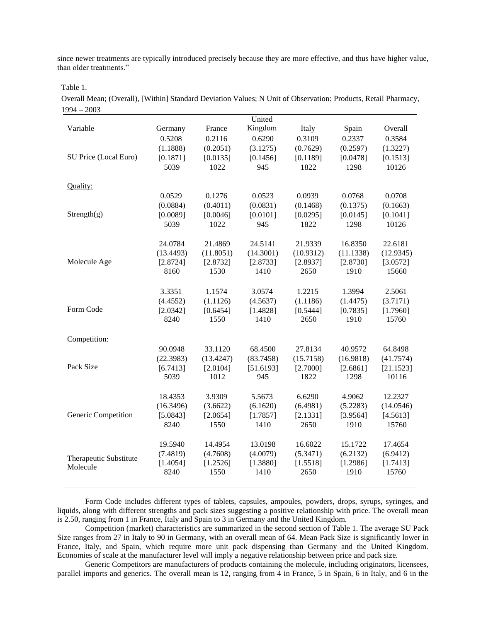since newer treatments are typically introduced precisely because they are more effective, and thus have higher value, than older treatments."

Table 1.

Overall Mean; (Overall), [Within] Standard Deviation Values; N Unit of Observation: Products, Retail Pharmacy, 1994 – 2003

|                        |                      |                      | United               |                      |                      |                   |
|------------------------|----------------------|----------------------|----------------------|----------------------|----------------------|-------------------|
| Variable               | Germany              | France               | Kingdom              | Italy                | Spain                | Overall           |
|                        | 0.5208               | 0.2116               | 0.6290               | 0.3109               | 0.2337               | 0.3584            |
|                        | (1.1888)             | (0.2051)             | (3.1275)             | (0.7629)             | (0.2597)             | (1.3227)          |
| SU Price (Local Euro)  | [0.1871]             | [0.0135]             | [0.1456]             | [0.1189]             | [0.0478]             | [0.1513]          |
|                        | 5039                 | 1022                 | 945                  | 1822                 | 1298                 | 10126             |
| Quality:               |                      |                      |                      |                      |                      |                   |
|                        | 0.0529               | 0.1276               | 0.0523               | 0.0939               | 0.0768               | 0.0708            |
|                        | (0.0884)             | (0.4011)             | (0.0831)             | (0.1468)             | (0.1375)             | (0.1663)          |
| Strength(g)            | [0.0089]             | [0.0046]             | [0.0101]             | [0.0295]             | [0.0145]             | [0.1041]          |
|                        | 5039                 | 1022                 | 945                  | 1822                 | 1298                 | 10126             |
|                        |                      |                      |                      |                      |                      |                   |
|                        | 24.0784              | 21.4869              | 24.5141              | 21.9339              | 16.8350              | 22.6181           |
| Molecule Age           | (13.4493)            | (11.8051)            | (14.3001)            | (10.9312)            | (11.1338)            | (12.9345)         |
|                        | [2.8724]<br>8160     | [2.8732]<br>1530     | [2.8733]<br>1410     | [2.8937]<br>2650     | [2.8730]<br>1910     | [3.0572]<br>15660 |
|                        |                      |                      |                      |                      |                      |                   |
|                        | 3.3351               | 1.1574               | 3.0574               | 1.2215               | 1.3994               | 2.5061            |
|                        | (4.4552)             | (1.1126)             | (4.5637)             | (1.1186)             | (1.4475)             | (3.7171)          |
| Form Code              | [2.0342]             | [0.6454]             | [1.4828]             | [0.5444]             | [0.7835]             | [1.7960]          |
|                        | 8240                 | 1550                 | 1410                 | 2650                 | 1910                 | 15760             |
| Competition:           |                      |                      |                      |                      |                      |                   |
|                        | 90.0948              | 33.1120              | 68.4500              | 27.8134              | 40.9572              | 64.8498           |
|                        | (22.3983)            | (13.4247)            | (83.7458)            | (15.7158)            | (16.9818)            | (41.7574)         |
| Pack Size              | [6.7413]             | [2.0104]             | [51.6193]            | [2.7000]             | [2.6861]             | [21.1523]         |
|                        | 5039                 | 1012                 | 945                  | 1822                 | 1298                 | 10116             |
|                        |                      |                      |                      |                      |                      |                   |
|                        | 18.4353              | 3.9309               | 5.5673               | 6.6290               | 4.9062               | 12.2327           |
|                        | (16.3496)            | (3.6622)             | (6.1620)             | (6.4981)             | (5.2283)             | (14.0546)         |
| Generic Competition    | [5.0843]             | [2.0654]             | [1.7857]             | [2.1331]             | [3.9564]             | [4.5613]          |
|                        | 8240                 | 1550                 | 1410                 | 2650                 | 1910                 | 15760             |
|                        |                      |                      |                      |                      |                      |                   |
|                        | 19.5940              | 14.4954              | 13.0198              | 16.6022              | 15.1722              | 17.4654           |
| Therapeutic Substitute | (7.4819)<br>[1.4054] | (4.7608)<br>[1.2526] | (4.0079)<br>[1.3880] | (5.3471)<br>[1.5518] | (6.2132)<br>[1.2986] | (6.9412)          |
| Molecule               | 8240                 | 1550                 | 1410                 | 2650                 | 1910                 | [1.7413]<br>15760 |
|                        |                      |                      |                      |                      |                      |                   |

Form Code includes different types of tablets, capsules, ampoules, powders, drops, syrups, syringes, and liquids, along with different strengths and pack sizes suggesting a positive relationship with price. The overall mean is 2.50, ranging from 1 in France, Italy and Spain to 3 in Germany and the United Kingdom.

Competition (market) characteristics are summarized in the second section of Table 1. The average SU Pack Size ranges from 27 in Italy to 90 in Germany, with an overall mean of 64. Mean Pack Size is significantly lower in France, Italy, and Spain, which require more unit pack dispensing than Germany and the United Kingdom. Economies of scale at the manufacturer level will imply a negative relationship between price and pack size.

Generic Competitors are manufacturers of products containing the molecule, including originators, licensees, parallel imports and generics. The overall mean is 12, ranging from 4 in France, 5 in Spain, 6 in Italy, and 6 in the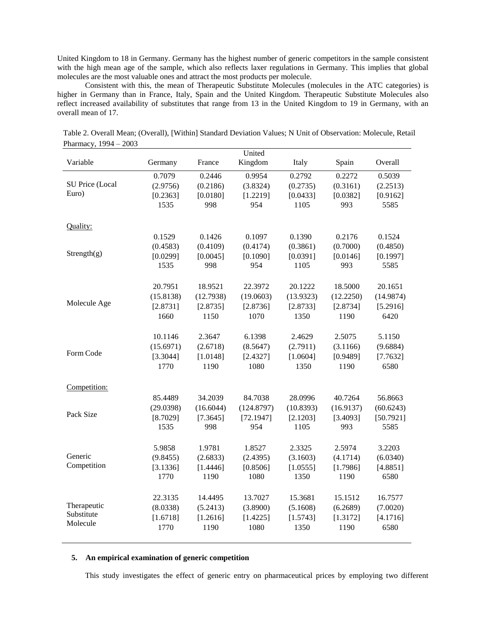United Kingdom to 18 in Germany. Germany has the highest number of generic competitors in the sample consistent with the high mean age of the sample, which also reflects laxer regulations in Germany. This implies that global molecules are the most valuable ones and attract the most products per molecule.

Consistent with this, the mean of Therapeutic Substitute Molecules (molecules in the ATC categories) is higher in Germany than in France, Italy, Spain and the United Kingdom. Therapeutic Substitute Molecules also reflect increased availability of substitutes that range from 13 in the United Kingdom to 19 in Germany, with an overall mean of 17.

|                 |           |           | United     |                  |                  |           |
|-----------------|-----------|-----------|------------|------------------|------------------|-----------|
| Variable        | Germany   | France    | Kingdom    | Italy            | Spain            | Overall   |
|                 | 0.7079    | 0.2446    | 0.9954     | 0.2792           | 0.2272           | 0.5039    |
| SU Price (Local | (2.9756)  | (0.2186)  | (3.8324)   | (0.2735)         | (0.3161)         | (2.2513)  |
| Euro)           | [0.2363]  | [0.0180]  | [1.2219]   | [0.0433]         | [0.0382]         | [0.9162]  |
|                 | 1535      | 998       | 954        | 1105             | 993              | 5585      |
|                 |           |           |            |                  |                  |           |
| Quality:        |           |           |            |                  |                  |           |
|                 | 0.1529    | 0.1426    | 0.1097     | 0.1390           | 0.2176           | 0.1524    |
| Strength(g)     | (0.4583)  | (0.4109)  | (0.4174)   | (0.3861)         | (0.7000)         | (0.4850)  |
|                 | [0.0299]  | [0.0045]  | [0.1090]   | [0.0391]         | [0.0146]         | [0.1997]  |
|                 | 1535      | 998       | 954        | 1105             | 993              | 5585      |
|                 | 20.7951   | 18.9521   | 22.3972    | 20.1222          | 18.5000          | 20.1651   |
|                 | (15.8138) | (12.7938) | (19.0603)  | (13.9323)        | (12.2250)        | (14.9874) |
| Molecule Age    | [2.8731]  | [2.8735]  | [2.8736]   | [2.8733]         | [2.8734]         | [5.2916]  |
|                 | 1660      | 1150      | 1070       | 1350             | 1190             | 6420      |
|                 |           |           |            |                  |                  |           |
|                 | 10.1146   | 2.3647    | 6.1398     | 2.4629           | 2.5075           | 5.1150    |
|                 | (15.6971) | (2.6718)  | (8.5647)   | (2.7911)         | (3.1166)         | (9.6884)  |
| Form Code       | [3.3044]  | [1.0148]  | [2.4327]   | [1.0604]         | [0.9489]         | [7.7632]  |
|                 | 1770      | 1190      | 1080       | 1350             | 1190             | 6580      |
|                 |           |           |            |                  |                  |           |
| Competition:    |           |           |            |                  |                  |           |
|                 | 85.4489   | 34.2039   | 84.7038    | 28.0996          | 40.7264          | 56.8663   |
| Pack Size       | (29.0398) | (16.6044) | (124.8797) | (10.8393)        | (16.9137)        | (60.6243) |
|                 | [8.7029]  | [7.3645]  | [72.1947]  | [2.1203]         | [3.4093]         | [50.7921] |
|                 | 1535      | 998       | 954        | 1105             | 993              | 5585      |
|                 | 5.9858    | 1.9781    | 1.8527     | 2.3325           | 2.5974           | 3.2203    |
| Generic         | (9.8455)  | (2.6833)  | (2.4395)   | (3.1603)         | (4.1714)         | (6.0340)  |
| Competition     | [3.1336]  | [1.4446]  | [0.8506]   |                  |                  | [4.8851]  |
|                 | 1770      | 1190      | 1080       | [1.0555]<br>1350 | [1.7986]<br>1190 | 6580      |
|                 |           |           |            |                  |                  |           |
|                 | 22.3135   | 14.4495   | 13.7027    | 15.3681          | 15.1512          | 16.7577   |
| Therapeutic     | (8.0338)  | (5.2413)  | (3.8900)   | (5.1608)         | (6.2689)         | (7.0020)  |
| Substitute      | [1.6718]  | [1.2616]  | [1.4225]   | [1.5743]         | [1.3172]         | [4.1716]  |
| Molecule        | 1770      | 1190      | 1080       | 1350             | 1190             | 6580      |
|                 |           |           |            |                  |                  |           |

 Table 2. Overall Mean; (Overall), [Within] Standard Deviation Values; N Unit of Observation: Molecule, Retail Pharmacy, 1994 – 2003

### **5. An empirical examination of generic competition**

This study investigates the effect of generic entry on pharmaceutical prices by employing two different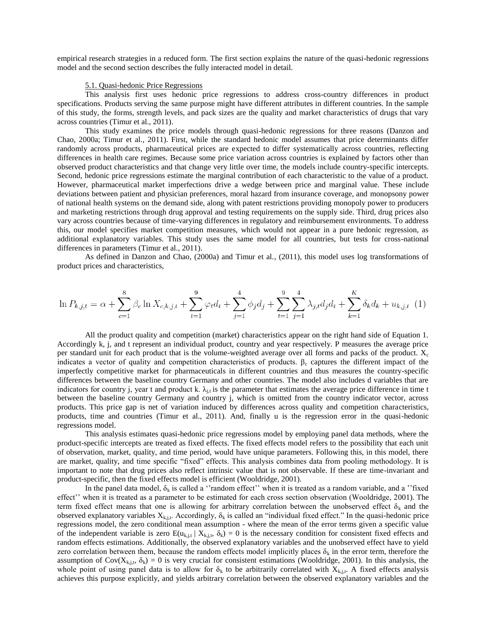empirical research strategies in a reduced form. The first section explains the nature of the quasi-hedonic regressions model and the second section describes the fully interacted model in detail.

## 5.1. Quasi-hedonic Price Regressions

This analysis first uses hedonic price regressions to address cross-country differences in product specifications. Products serving the same purpose might have different attributes in different countries. In the sample of this study, the forms, strength levels, and pack sizes are the quality and market characteristics of drugs that vary across countries (Timur et al., 2011).

This study examines the price models through quasi-hedonic regressions for three reasons (Danzon and Chao, 2000a; Timur et al., 2011). First, while the standard hedonic model assumes that price determinants differ randomly across products, pharmaceutical prices are expected to differ systematically across countries, reflecting differences in health care regimes. Because some price variation across countries is explained by factors other than observed product characteristics and that change very little over time, the models include country-specific intercepts. Second, hedonic price regressions estimate the marginal contribution of each characteristic to the value of a product. However, pharmaceutical market imperfections drive a wedge between price and marginal value. These include deviations between patient and physician preferences, moral hazard from insurance coverage, and monopsony power of national health systems on the demand side, along with patent restrictions providing monopoly power to producers and marketing restrictions through drug approval and testing requirements on the supply side. Third, drug prices also vary across countries because of time-varying differences in regulatory and reimbursement environments. To address this, our model specifies market competition measures, which would not appear in a pure hedonic regression, as additional explanatory variables. This study uses the same model for all countries, but tests for cross-national differences in parameters (Timur et al., 2011).

As defined in Danzon and Chao, (2000a) and Timur et al., (2011), this model uses log transformations of product prices and characteristics,

$$
\ln P_{k,j,t} = \alpha + \sum_{c=1}^{8} \beta_c \ln X_{c,k,j,t} + \sum_{t=1}^{9} \varphi_t d_t + \sum_{j=1}^{4} \phi_j d_j + \sum_{t=1}^{9} \sum_{j=1}^{4} \lambda_{j,t} d_j d_t + \sum_{k=1}^{K} \delta_k d_k + u_{k,j,t} \tag{1}
$$

All the product quality and competition (market) characteristics appear on the right hand side of Equation 1. Accordingly k, j, and t represent an individual product, country and year respectively. P measures the average price per standard unit for each product that is the volume-weighted average over all forms and packs of the product.  $X_c$ indicates a vector of quality and competition characteristics of products.  $\beta_c$  captures the different impact of the imperfectly competitive market for pharmaceuticals in different countries and thus measures the country-specific differences between the baseline country Germany and other countries. The model also includes d variables that are indicators for country j, year t and product k.  $\lambda_{i}$  is the parameter that estimates the average price difference in time t between the baseline country Germany and country j, which is omitted from the country indicator vector, across products. This price gap is net of variation induced by differences across quality and competition characteristics, products, time and countries (Timur et al., 2011). And, finally u is the regression error in the quasi-hedonic regressions model.

This analysis estimates quasi-hedonic price regressions model by employing panel data methods, where the product-specific intercepts are treated as fixed effects. The fixed effects model refers to the possibility that each unit of observation, market, quality, and time period, would have unique parameters. Following this, in this model, there are market, quality, and time specific "fixed" effects. This analysis combines data from pooling methodology. It is important to note that drug prices also reflect intrinsic value that is not observable. If these are time-invariant and product-specific, then the fixed effects model is efficient (Wooldridge, 2001).

In the panel data model,  $\delta_k$  is called a "random effect" when it is treated as a random variable, and a "fixed effect'' when it is treated as a parameter to be estimated for each cross section observation (Wooldridge, 2001). The term fixed effect means that one is allowing for arbitrary correlation between the unobserved effect  $\delta_k$  and the observed explanatory variables  $X_{k,i,t}$ . Accordingly,  $\delta_k$  is called an "individual fixed effect." In the quasi-hedonic price regressions model, the zero conditional mean assumption - where the mean of the error terms given a specific value of the independent variable is zero  $E(u_{k,i,t} | X_{k,i,t}, \delta_k) = 0$  is the necessary condition for consistent fixed effects and random effects estimations. Additionally, the observed explanatory variables and the unobserved effect have to yield zero correlation between them, because the random effects model implicitly places  $\delta_k$  in the error term, therefore the assumption of  $Cov(X_{k,i,t}, \delta_k) = 0$  is very crucial for consistent estimations (Wooldridge, 2001). In this analysis, the whole point of using panel data is to allow for  $\delta_k$  to be arbitrarily correlated with  $X_{k,i,t}$ . A fixed effects analysis achieves this purpose explicitly, and yields arbitrary correlation between the observed explanatory variables and the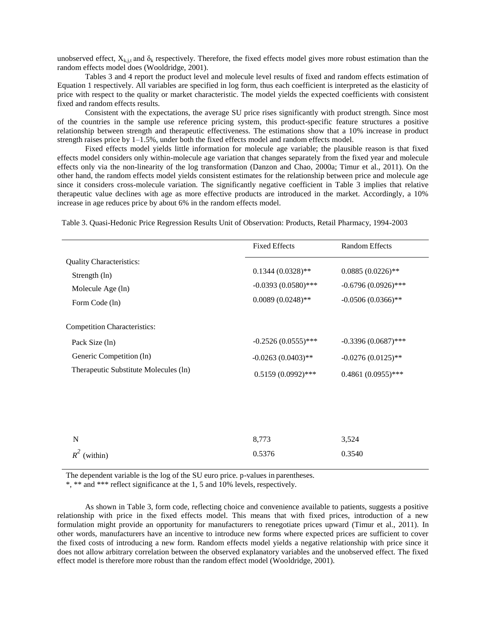unobserved effect,  $X_{k,j,t}$  and  $\delta_k$  respectively. Therefore, the fixed effects model gives more robust estimation than the random effects model does (Wooldridge, 2001).

Tables 3 and 4 report the product level and molecule level results of fixed and random effects estimation of Equation 1 respectively. All variables are specified in log form, thus each coefficient is interpreted as the elasticity of price with respect to the quality or market characteristic. The model yields the expected coefficients with consistent fixed and random effects results.

Consistent with the expectations, the average SU price rises significantly with product strength. Since most of the countries in the sample use reference pricing system, this product-specific feature structures a positive relationship between strength and therapeutic effectiveness. The estimations show that a 10% increase in product strength raises price by  $1-1.5\%$ , under both the fixed effects model and random effects model.

Fixed effects model yields little information for molecule age variable; the plausible reason is that fixed effects model considers only within-molecule age variation that changes separately from the fixed year and molecule effects only via the non-linearity of the log transformation (Danzon and Chao, 2000a; Timur et al., 2011). On the other hand, the random effects model yields consistent estimates for the relationship between price and molecule age since it considers cross-molecule variation. The significantly negative coefficient in Table 3 implies that relative therapeutic value declines with age as more effective products are introduced in the market. Accordingly, a 10% increase in age reduces price by about 6% in the random effects model.

Table 3. Quasi-Hedonic Price Regression Results Unit of Observation: Products, Retail Pharmacy, 1994-2003

|                                                                                         | <b>Fixed Effects</b>                                               | <b>Random Effects</b>                                                |  |
|-----------------------------------------------------------------------------------------|--------------------------------------------------------------------|----------------------------------------------------------------------|--|
| <b>Quality Characteristics:</b><br>Strength (ln)<br>Molecule Age (ln)<br>Form Code (ln) | $0.1344(0.0328)**$<br>$-0.0393(0.0580)$ ***<br>$0.0089(0.0248)$ ** | $0.0885(0.0226)$ **<br>$-0.6796(0.0926)$ ***<br>$-0.0506(0.0366)$ ** |  |
| <b>Competition Characteristics:</b>                                                     |                                                                    |                                                                      |  |
| Pack Size (ln)                                                                          | $-0.2526(0.0555)$ ***                                              | $-0.3396(0.0687)$ ***                                                |  |
| Generic Competition (ln)                                                                | $-0.0263(0.0403)$ **                                               | $-0.0276(0.0125)$ **                                                 |  |
| Therapeutic Substitute Molecules (ln)                                                   | $0.5159(0.0992)$ ***                                               | $0.4861(0.0955)$ ***                                                 |  |
|                                                                                         |                                                                    |                                                                      |  |
|                                                                                         |                                                                    |                                                                      |  |
| N                                                                                       | 8,773                                                              | 3,524                                                                |  |

The dependent variable is the log of the SU euro price. p-values in parentheses.

\*, \*\* and \*\*\* reflect significance at the 1, 5 and 10% levels, respectively.

 $R^2$  (within)

As shown in Table 3, form code, reflecting choice and convenience available to patients, suggests a positive relationship with price in the fixed effects model. This means that with fixed prices, introduction of a new formulation might provide an opportunity for manufacturers to renegotiate prices upward (Timur et al., 2011). In other words, manufacturers have an incentive to introduce new forms where expected prices are sufficient to cover the fixed costs of introducing a new form. Random effects model yields a negative relationship with price since it does not allow arbitrary correlation between the observed explanatory variables and the unobserved effect. The fixed effect model is therefore more robust than the random effect model (Wooldridge, 2001).

0.5376

0.3540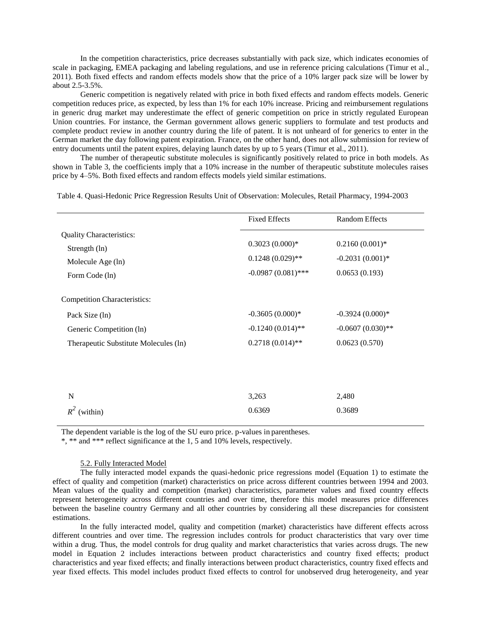In the competition characteristics, price decreases substantially with pack size, which indicates economies of scale in packaging, EMEA packaging and labeling regulations, and use in reference pricing calculations (Timur et al., 2011). Both fixed effects and random effects models show that the price of a 10% larger pack size will be lower by about 2.5-3.5%.

Generic competition is negatively related with price in both fixed effects and random effects models. Generic competition reduces price, as expected, by less than 1% for each 10% increase. Pricing and reimbursement regulations in generic drug market may underestimate the effect of generic competition on price in strictly regulated European Union countries. For instance, the German government allows generic suppliers to formulate and test products and complete product review in another country during the life of patent. It is not unheard of for generics to enter in the German market the day following patent expiration. France, on the other hand, does not allow submission for review of entry documents until the patent expires, delaying launch dates by up to 5 years (Timur et al., 2011).

The number of therapeutic substitute molecules is significantly positively related to price in both models. As shown in Table 3, the coefficients imply that a 10% increase in the number of therapeutic substitute molecules raises price by 4–5%. Both fixed effects and random effects models yield similar estimations.

Table 4. Quasi-Hedonic Price Regression Results Unit of Observation: Molecules, Retail Pharmacy, 1994-2003

|                                                                                         | <b>Fixed Effects</b>                                           | <b>Random Effects</b>                                  |
|-----------------------------------------------------------------------------------------|----------------------------------------------------------------|--------------------------------------------------------|
| <b>Quality Characteristics:</b><br>Strength (ln)<br>Molecule Age (ln)<br>Form Code (ln) | $0.3023(0.000)*$<br>$0.1248(0.029)$ **<br>$-0.0987(0.081)$ *** | $0.2160(0.001)*$<br>$-0.2031(0.001)*$<br>0.0653(0.193) |
| <b>Competition Characteristics:</b>                                                     |                                                                |                                                        |
| Pack Size (ln)                                                                          | $-0.3605(0.000)*$                                              | $-0.3924(0.000)*$                                      |
| Generic Competition (ln)                                                                | $-0.1240(0.014)$ **                                            | $-0.0607(0.030)$ **                                    |
| Therapeutic Substitute Molecules (ln)                                                   | $0.2718(0.014)$ **                                             | 0.0623(0.570)                                          |
|                                                                                         |                                                                |                                                        |
| N                                                                                       | 3,263                                                          | 2,480                                                  |
| $R^2$<br>(within)                                                                       | 0.6369                                                         | 0.3689                                                 |

The dependent variable is the log of the SU euro price. p-values in parentheses.

\*, \*\* and \*\*\* reflect significance at the 1, 5 and 10% levels, respectively.

#### 5.2. Fully Interacted Model

The fully interacted model expands the quasi-hedonic price regressions model (Equation 1) to estimate the effect of quality and competition (market) characteristics on price across different countries between 1994 and 2003. Mean values of the quality and competition (market) characteristics, parameter values and fixed country effects represent heterogeneity across different countries and over time, therefore this model measures price differences between the baseline country Germany and all other countries by considering all these discrepancies for consistent estimations.

In the fully interacted model, quality and competition (market) characteristics have different effects across different countries and over time. The regression includes controls for product characteristics that vary over time within a drug. Thus, the model controls for drug quality and market characteristics that varies across drugs. The new model in Equation 2 includes interactions between product characteristics and country fixed effects; product characteristics and year fixed effects; and finally interactions between product characteristics, country fixed effects and year fixed effects. This model includes product fixed effects to control for unobserved drug heterogeneity, and year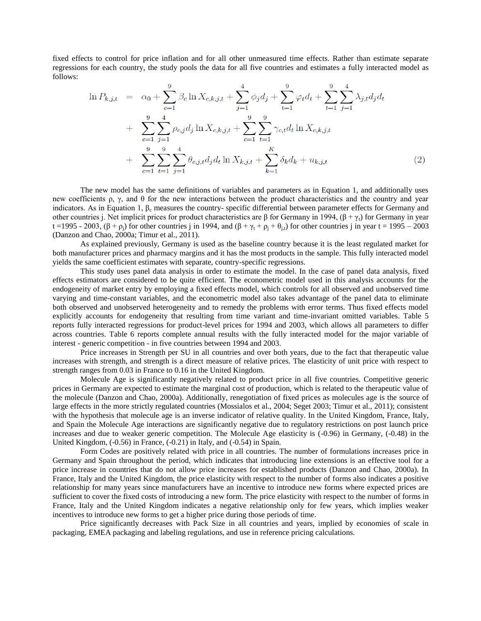fixed effects to control for price inflation and for all other unmeasured time effects. Rather than estimate separate regressions for each country, the study pools the data for all five countries and estimates a fully interacted model as follows:

$$
\ln P_{k,j,t} = \alpha_0 + \sum_{c=1}^9 \beta_c \ln X_{c,k,j,t} + \sum_{j=1}^4 \phi_j d_j + \sum_{t=1}^9 \varphi_t d_t + \sum_{t=1}^9 \sum_{j=1}^4 \lambda_{j,t} d_j d_t + \sum_{c=1}^9 \sum_{j=1}^4 \rho_{c,j} d_j \ln X_{c,k,j,t} + \sum_{c=1}^9 \sum_{t=1}^9 \gamma_{c,t} d_t \ln X_{c,k,j,t} + \sum_{c=1}^9 \sum_{t=1}^9 \sum_{j=1}^4 \theta_{c,j,t} d_j d_t \ln X_{k,j,t} + \sum_{k=1}^K \delta_k d_k + u_{k,j,t}
$$
\n(2)

The new model has the same definitions of variables and parameters as in Equation 1, and additionally uses new coefficients ρ, γ, and θ for the new interactions between the product characteristics and the country and year indicators. As in Equation 1,  $\beta_c$  measures the country- specific differential between parameter effects for Germany and other countries j. Net implicit prices for product characteristics are β for Germany in 1994,  $(\beta + \gamma)$  for Germany in year t =1995 - 2003,  $(\beta + \rho_i)$  for other countries j in 1994, and  $(\beta + \gamma_t + \rho_i + \theta_{i,t})$  for other countries j in year t = 1995 – 2003 (Danzon and Chao, 2000a; Timur et al., 2011).

As explained previously, Germany is used as the baseline country because it is the least regulated market for both manufacturer prices and pharmacy margins and it has the most products in the sample. This fully interacted model yields the same coefficient estimates with separate, country-specific regressions.

This study uses panel data analysis in order to estimate the model. In the case of panel data analysis, fixed effects estimators are considered to be quite efficient. The econometric model used in this analysis accounts for the endogeneity of market entry by employing a fixed effects model, which controls for all observed and unobserved time varying and time-constant variables, and the econometric model also takes advantage of the panel data to eliminate both observed and unobserved heterogeneity and to remedy the problems with error terms. Thus fixed effects model explicitly accounts for endogeneity that resulting from time variant and time-invariant omitted variables. Table 5 reports fully interacted regressions for product-level prices for 1994 and 2003, which allows all parameters to differ across countries. Table 6 reports complete annual results with the fully interacted model for the major variable of interest - generic competition - in five countries between 1994 and 2003.

Price increases in Strength per SU in all countries and over both years, due to the fact that therapeutic value increases with strength, and strength is a direct measure of relative prices. The elasticity of unit price with respect to strength ranges from 0.03 in France to 0.16 in the United Kingdom.

Molecule Age is significantly negatively related to product price in all five countries. Competitive generic prices in Germany are expected to estimate the marginal cost of production, which is related to the therapeutic value of the molecule (Danzon and Chao, 2000a). Additionally, renegotiation of fixed prices as molecules age is the source of large effects in the more strictly regulated countries (Mossialos et al., 2004; Seget 2003; Timur et al., 2011); consistent with the hypothesis that molecule age is an inverse indicator of relative quality. In the United Kingdom, France, Italy, and Spain the Molecule Age interactions are significantly negative due to regulatory restrictions on post launch price increases and due to weaker generic competition. The Molecule Age elasticity is (-0.96) in Germany, (-0.48) in the United Kingdom, (-0.56) in France, (-0.21) in Italy, and (-0.54) in Spain.

Form Codes are positively related with price in all countries. The number of formulations increases price in Germany and Spain throughout the period, which indicates that introducing line extensions is an effective tool for a price increase in countries that do not allow price increases for established products (Danzon and Chao, 2000a). In France, Italy and the United Kingdom, the price elasticity with respect to the number of forms also indicates a positive relationship for many years since manufacturers have an incentive to introduce new forms where expected prices are sufficient to cover the fixed costs of introducing a new form. The price elasticity with respect to the number of forms in France, Italy and the United Kingdom indicates a negative relationship only for few years, which implies weaker incentives to introduce new forms to get a higher price during those periods of time.

Price significantly decreases with Pack Size in all countries and years, implied by economies of scale in packaging, EMEA packaging and labeling regulations, and use in reference pricing calculations.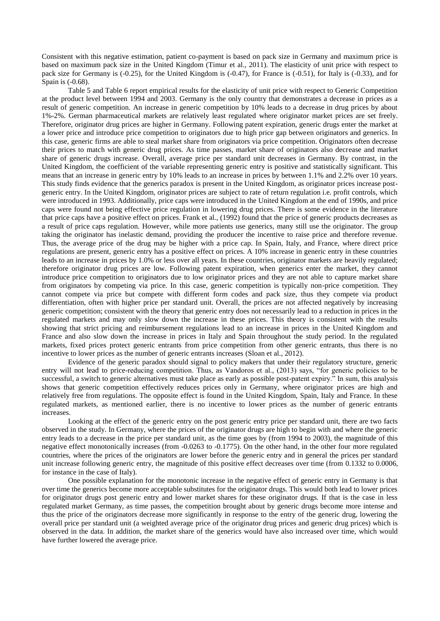Consistent with this negative estimation, patient co-payment is based on pack size in Germany and maximum price is based on maximum pack size in the United Kingdom (Timur et al., 2011). The elasticity of unit price with respect to pack size for Germany is (-0.25), for the United Kingdom is (-0.47), for France is (-0.51), for Italy is (-0.33), and for Spain is (-0.68).

Table 5 and Table 6 report empirical results for the elasticity of unit price with respect to Generic Competition at the product level between 1994 and 2003. Germany is the only country that demonstrates a decrease in prices as a result of generic competition. An increase in generic competition by 10% leads to a decrease in drug prices by about 1%-2%. German pharmaceutical markets are relatively least regulated where originator market prices are set freely. Therefore, originator drug prices are higher in Germany. Following patent expiration, generic drugs enter the market at a lower price and introduce price competition to originators due to high price gap between originators and generics. In this case, generic firms are able to steal market share from originators via price competition. Originators often decrease their prices to match with generic drug prices. As time passes, market share of originators also decrease and market share of generic drugs increase. Overall, average price per standard unit decreases in Germany. By contrast, in the United Kingdom, the coefficient of the variable representing generic entry is positive and statistically significant. This means that an increase in generic entry by 10% leads to an increase in prices by between 1.1% and 2.2% over 10 years. This study finds evidence that the generics paradox is present in the United Kingdom, as originator prices increase postgeneric entry. In the United Kingdom, originator prices are subject to rate of return regulation i.e. profit controls, which were introduced in 1993. Additionally, price caps were introduced in the United Kingdom at the end of 1990s, and price caps were found not being effective price regulation in lowering drug prices. There is some evidence in the literature that price caps have a positive effect on prices. Frank et al., (1992) found that the price of generic products decreases as a result of price caps regulation. However, while more patients use generics, many still use the originator. The group taking the originator has inelastic demand, providing the producer the incentive to raise price and therefore revenue. Thus, the average price of the drug may be higher with a price cap. In Spain, Italy, and France, where direct price regulations are present, generic entry has a positive effect on prices. A 10% increase in generic entry in these countries leads to an increase in prices by 1.0% or less over all years. In these countries, originator markets are heavily regulated; therefore originator drug prices are low. Following patent expiration, when generics enter the market, they cannot introduce price competition to originators due to low originator prices and they are not able to capture market share from originators by competing via price. In this case, generic competition is typically non-price competition. They cannot compete via price but compete with different form codes and pack size, thus they compete via product differentiation, often with higher price per standard unit. Overall, the prices are not affected negatively by increasing generic competition; consistent with the theory that generic entry does not necessarily lead to a reduction in prices in the regulated markets and may only slow down the increase in these prices. This theory is consistent with the results showing that strict pricing and reimbursement regulations lead to an increase in prices in the United Kingdom and France and also slow down the increase in prices in Italy and Spain throughout the study period. In the regulated markets, fixed prices protect generic entrants from price competition from other generic entrants, thus there is no incentive to lower prices as the number of generic entrants increases (Sloan et al., 2012).

Evidence of the generic paradox should signal to policy makers that under their regulatory structure, generic entry will not lead to price-reducing competition. Thus, as Vandoros et al., (2013) says, "for generic policies to be successful, a switch to generic alternatives must take place as early as possible post-patent expiry." In sum, this analysis shows that generic competition effectively reduces prices only in Germany, where originator prices are high and relatively free from regulations. The opposite effect is found in the United Kingdom, Spain, Italy and France. In these regulated markets, as mentioned earlier, there is no incentive to lower prices as the number of generic entrants increases.

Looking at the effect of the generic entry on the post generic entry price per standard unit, there are two facts observed in the study. In Germany, where the prices of the originator drugs are high to begin with and where the generic entry leads to a decrease in the price per standard unit, as the time goes by (from 1994 to 2003), the magnitude of this negative effect monotonically increases (from -0.0263 to -0.1775). On the other hand, in the other four more regulated countries, where the prices of the originators are lower before the generic entry and in general the prices per standard unit increase following generic entry, the magnitude of this positive effect decreases over time (from 0.1332 to 0.0006, for instance in the case of Italy).

One possible explanation for the monotonic increase in the negative effect of generic entry in Germany is that over time the generics become more acceptable substitutes for the originator drugs. This would both lead to lower prices for originator drugs post generic entry and lower market shares for these originator drugs. If that is the case in less regulated market Germany, as time passes, the competition brought about by generic drugs become more intense and thus the price of the originators decrease more significantly in response to the entry of the generic drug, lowering the overall price per standard unit (a weighted average price of the originator drug prices and generic drug prices) which is observed in the data. In addition, the market share of the generics would have also increased over time, which would have further lowered the average price.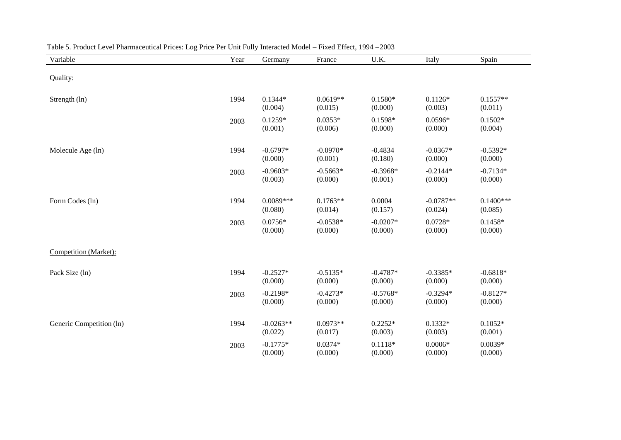| Variable                 | Year | Germany                | France                | U.K.                  | Italy                  | Spain                  |
|--------------------------|------|------------------------|-----------------------|-----------------------|------------------------|------------------------|
| Quality:                 |      |                        |                       |                       |                        |                        |
| Strength (ln)            | 1994 | $0.1344*$<br>(0.004)   | $0.0619**$<br>(0.015) | $0.1580*$<br>(0.000)  | $0.1126*$<br>(0.003)   | $0.1557**$<br>(0.011)  |
|                          | 2003 | $0.1259*$<br>(0.001)   | $0.0353*$<br>(0.006)  | $0.1598*$<br>(0.000)  | $0.0596*$<br>(0.000)   | $0.1502*$<br>(0.004)   |
| Molecule Age (ln)        | 1994 | $-0.6797*$<br>(0.000)  | $-0.0970*$<br>(0.001) | $-0.4834$<br>(0.180)  | $-0.0367*$<br>(0.000)  | $-0.5392*$<br>(0.000)  |
|                          | 2003 | $-0.9603*$<br>(0.003)  | $-0.5663*$<br>(0.000) | $-0.3968*$<br>(0.001) | $-0.2144*$<br>(0.000)  | $-0.7134*$<br>(0.000)  |
| Form Codes (ln)          | 1994 | $0.0089***$<br>(0.080) | $0.1763**$<br>(0.014) | 0.0004<br>(0.157)     | $-0.0787**$<br>(0.024) | $0.1400***$<br>(0.085) |
|                          | 2003 | $0.0756*$<br>(0.000)   | $-0.0538*$<br>(0.000) | $-0.0207*$<br>(0.000) | $0.0728*$<br>(0.000)   | $0.1458*$<br>(0.000)   |
| Competition (Market):    |      |                        |                       |                       |                        |                        |
| Pack Size (ln)           | 1994 | $-0.2527*$<br>(0.000)  | $-0.5135*$<br>(0.000) | $-0.4787*$<br>(0.000) | $-0.3385*$<br>(0.000)  | $-0.6818*$<br>(0.000)  |
|                          | 2003 | $-0.2198*$<br>(0.000)  | $-0.4273*$<br>(0.000) | $-0.5768*$<br>(0.000) | $-0.3294*$<br>(0.000)  | $-0.8127*$<br>(0.000)  |
| Generic Competition (ln) | 1994 | $-0.0263**$<br>(0.022) | $0.0973**$<br>(0.017) | $0.2252*$<br>(0.003)  | $0.1332*$<br>(0.003)   | $0.1052*$<br>(0.001)   |
|                          | 2003 | $-0.1775*$<br>(0.000)  | $0.0374*$<br>(0.000)  | $0.1118*$<br>(0.000)  | $0.0006*$<br>(0.000)   | $0.0039*$<br>(0.000)   |

| Table 5. Product Level Pharmaceutical Prices: Log Price Per Unit Fully Interacted Model – Fixed Effect, 1994 –2003 |  |  |  |
|--------------------------------------------------------------------------------------------------------------------|--|--|--|
|--------------------------------------------------------------------------------------------------------------------|--|--|--|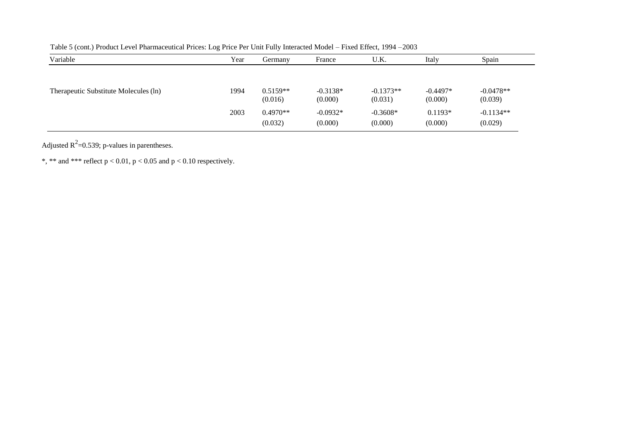| Variable                              | Year | Germany               | France                | U.K.                   | Italy                 | Spain                  |
|---------------------------------------|------|-----------------------|-----------------------|------------------------|-----------------------|------------------------|
|                                       |      |                       |                       |                        |                       |                        |
| Therapeutic Substitute Molecules (ln) | 1994 | $0.5159**$<br>(0.016) | $-0.3138*$<br>(0.000) | $-0.1373**$<br>(0.031) | $-0.4497*$<br>(0.000) | $-0.0478**$<br>(0.039) |
|                                       | 2003 | $0.4970**$<br>(0.032) | $-0.0932*$<br>(0.000) | $-0.3608*$<br>(0.000)  | $0.1193*$<br>(0.000)  | $-0.1134**$<br>(0.029) |

Table 5 (cont.) Product Level Pharmaceutical Prices: Log Price Per Unit Fully Interacted Model – Fixed Effect, 1994 –2003

Adjusted  $R^2$ =0.539; p-values in parentheses.

\*, \*\* and \*\*\* reflect  $p < 0.01$ ,  $p < 0.05$  and  $p < 0.10$  respectively.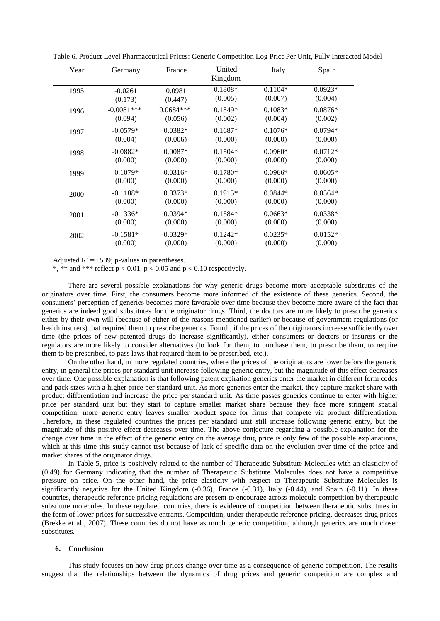| Year | Germany      | France      | United<br>Kingdom | Italy     | Spain     |
|------|--------------|-------------|-------------------|-----------|-----------|
| 1995 | $-0.0261$    | 0.0981      | $0.1808*$         | $0.1104*$ | $0.0923*$ |
|      | (0.173)      | (0.447)     | (0.005)           | (0.007)   | (0.004)   |
| 1996 | $-0.0081***$ | $0.0684***$ | $0.1849*$         | $0.1083*$ | $0.0876*$ |
|      | (0.094)      | (0.056)     | (0.002)           | (0.004)   | (0.002)   |
| 1997 | $-0.0579*$   | $0.0382*$   | $0.1687*$         | $0.1076*$ | $0.0794*$ |
|      | (0.004)      | (0.006)     | (0.000)           | (0.000)   | (0.000)   |
| 1998 | $-0.0882*$   | $0.0087*$   | $0.1504*$         | $0.0960*$ | $0.0712*$ |
|      | (0.000)      | (0.000)     | (0.000)           | (0.000)   | (0.000)   |
| 1999 | $-0.1079*$   | $0.0316*$   | $0.1780*$         | $0.0966*$ | $0.0605*$ |
|      | (0.000)      | (0.000)     | (0.000)           | (0.000)   | (0.000)   |
| 2000 | $-0.1188*$   | $0.0373*$   | $0.1915*$         | $0.0844*$ | $0.0564*$ |
|      | (0.000)      | (0.000)     | (0.000)           | (0.000)   | (0.000)   |
| 2001 | $-0.1336*$   | $0.0394*$   | $0.1584*$         | $0.0663*$ | $0.0338*$ |
|      | (0.000)      | (0.000)     | (0.000)           | (0.000)   | (0.000)   |
| 2002 | $-0.1581*$   | $0.0329*$   | $0.1242*$         | $0.0235*$ | $0.0152*$ |
|      | (0.000)      | (0.000)     | (0.000)           | (0.000)   | (0.000)   |

Table 6. Product Level Pharmaceutical Prices: Generic Competition Log Price Per Unit, Fully Interacted Model

Adjusted  $R^2$ =0.539; p-values in parentheses.

\*, \*\* and \*\*\* reflect  $p < 0.01$ ,  $p < 0.05$  and  $p < 0.10$  respectively.

There are several possible explanations for why generic drugs become more acceptable substitutes of the originators over time. First, the consumers become more informed of the existence of these generics. Second, the consumers' perception of generics becomes more favorable over time because they become more aware of the fact that generics are indeed good substitutes for the originator drugs. Third, the doctors are more likely to prescribe generics either by their own will (because of either of the reasons mentioned earlier) or because of government regulations (or health insurers) that required them to prescribe generics. Fourth, if the prices of the originators increase sufficiently over time (the prices of new patented drugs do increase significantly), either consumers or doctors or insurers or the regulators are more likely to consider alternatives (to look for them, to purchase them, to prescribe them, to require them to be prescribed, to pass laws that required them to be prescribed, etc.).

On the other hand, in more regulated countries, where the prices of the originators are lower before the generic entry, in general the prices per standard unit increase following generic entry, but the magnitude of this effect decreases over time. One possible explanation is that following patent expiration generics enter the market in different form codes and pack sizes with a higher price per standard unit. As more generics enter the market, they capture market share with product differentiation and increase the price per standard unit. As time passes generics continue to enter with higher price per standard unit but they start to capture smaller market share because they face more stringent spatial competition; more generic entry leaves smaller product space for firms that compete via product differentiation. Therefore, in these regulated countries the prices per standard unit still increase following generic entry, but the magnitude of this positive effect decreases over time. The above conjecture regarding a possible explanation for the change over time in the effect of the generic entry on the average drug price is only few of the possible explanations, which at this time this study cannot test because of lack of specific data on the evolution over time of the price and market shares of the originator drugs.

In Table 5, price is positively related to the number of Therapeutic Substitute Molecules with an elasticity of (0.49) for Germany indicating that the number of Therapeutic Substitute Molecules does not have a competitive pressure on price. On the other hand, the price elasticity with respect to Therapeutic Substitute Molecules is significantly negative for the United Kingdom (-0.36), France (-0.31), Italy (-0.44), and Spain (-0.11). In these countries, therapeutic reference pricing regulations are present to encourage across-molecule competition by therapeutic substitute molecules. In these regulated countries, there is evidence of competition between therapeutic substitutes in the form of lower prices for successive entrants. Competition, under therapeutic reference pricing, decreases drug prices (Brekke et al., 2007). These countries do not have as much generic competition, although generics are much closer substitutes.

#### **6. Conclusion**

This study focuses on how drug prices change over time as a consequence of generic competition. The results suggest that the relationships between the dynamics of drug prices and generic competition are complex and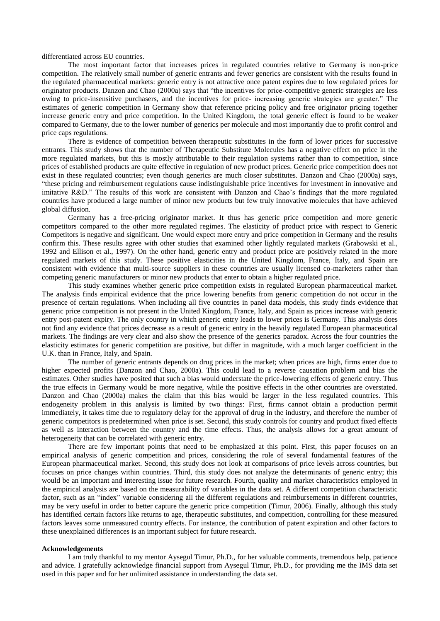differentiated across EU countries.

The most important factor that increases prices in regulated countries relative to Germany is non-price competition. The relatively small number of generic entrants and fewer generics are consistent with the results found in the regulated pharmaceutical markets: generic entry is not attractive once patent expires due to low regulated prices for originator products. Danzon and Chao (2000a) says that "the incentives for price-competitive generic strategies are less owing to price-insensitive purchasers, and the incentives for price- increasing generic strategies are greater." The estimates of generic competition in Germany show that reference pricing policy and free originator pricing together increase generic entry and price competition. In the United Kingdom, the total generic effect is found to be weaker compared to Germany, due to the lower number of generics per molecule and most importantly due to profit control and price caps regulations.

There is evidence of competition between therapeutic substitutes in the form of lower prices for successive entrants. This study shows that the number of Therapeutic Substitute Molecules has a negative effect on price in the more regulated markets, but this is mostly attributable to their regulation systems rather than to competition, since prices of established products are quite effective in regulation of new product prices. Generic price competition does not exist in these regulated countries; even though generics are much closer substitutes. Danzon and Chao (2000a) says, ―these pricing and reimbursement regulations cause indistinguishable price incentives for investment in innovative and imitative R&D." The results of this work are consistent with Danzon and Chao's findings that the more regulated countries have produced a large number of minor new products but few truly innovative molecules that have achieved global diffusion.

Germany has a free-pricing originator market. It thus has generic price competition and more generic competitors compared to the other more regulated regimes. The elasticity of product price with respect to Generic Competitors is negative and significant. One would expect more entry and price competition in Germany and the results confirm this. These results agree with other studies that examined other lightly regulated markets (Grabowski et al., 1992 and Ellison et al., 1997). On the other hand, generic entry and product price are positively related in the more regulated markets of this study. These positive elasticities in the United Kingdom, France, Italy, and Spain are consistent with evidence that multi-source suppliers in these countries are usually licensed co-marketers rather than competing generic manufacturers or minor new products that enter to obtain a higher regulated price.

This study examines whether generic price competition exists in regulated European pharmaceutical market. The analysis finds empirical evidence that the price lowering benefits from generic competition do not occur in the presence of certain regulations. When including all five countries in panel data models, this study finds evidence that generic price competition is not present in the United Kingdom, France, Italy, and Spain as prices increase with generic entry post-patent expiry. The only country in which generic entry leads to lower prices is Germany. This analysis does not find any evidence that prices decrease as a result of generic entry in the heavily regulated European pharmaceutical markets. The findings are very clear and also show the presence of the generics paradox. Across the four countries the elasticity estimates for generic competition are positive, but differ in magnitude, with a much larger coefficient in the U.K. than in France, Italy, and Spain.

The number of generic entrants depends on drug prices in the market; when prices are high, firms enter due to higher expected profits (Danzon and Chao, 2000a). This could lead to a reverse causation problem and bias the estimates. Other studies have posited that such a bias would understate the price-lowering effects of generic entry. Thus the true effects in Germany would be more negative, while the positive effects in the other countries are overstated. Danzon and Chao (2000a) makes the claim that this bias would be larger in the less regulated countries. This endogeneity problem in this analysis is limited by two things: First, firms cannot obtain a production permit immediately, it takes time due to regulatory delay for the approval of drug in the industry, and therefore the number of generic competitors is predetermined when price is set. Second, this study controls for country and product fixed effects as well as interaction between the country and the time effects. Thus, the analysis allows for a great amount of heterogeneity that can be correlated with generic entry.

There are few important points that need to be emphasized at this point. First, this paper focuses on an empirical analysis of generic competition and prices, considering the role of several fundamental features of the European pharmaceutical market. Second, this study does not look at comparisons of price levels across countries, but focuses on price changes within countries. Third, this study does not analyze the determinants of generic entry; this would be an important and interesting issue for future research. Fourth, quality and market characteristics employed in the empirical analysis are based on the measurability of variables in the data set. A different competition characteristic factor, such as an "index" variable considering all the different regulations and reimbursements in different countries, may be very useful in order to better capture the generic price competition (Timur, 2006). Finally, although this study has identified certain factors like returns to age, therapeutic substitutes, and competition, controlling for these measured factors leaves some unmeasured country effects. For instance, the contribution of patent expiration and other factors to these unexplained differences is an important subject for future research.

#### **Acknowledgements**

I am truly thankful to my mentor Aysegul Timur, Ph.D., for her valuable comments, tremendous help, patience and advice. I gratefully acknowledge financial support from Aysegul Timur, Ph.D., for providing me the IMS data set used in this paper and for her unlimited assistance in understanding the data set.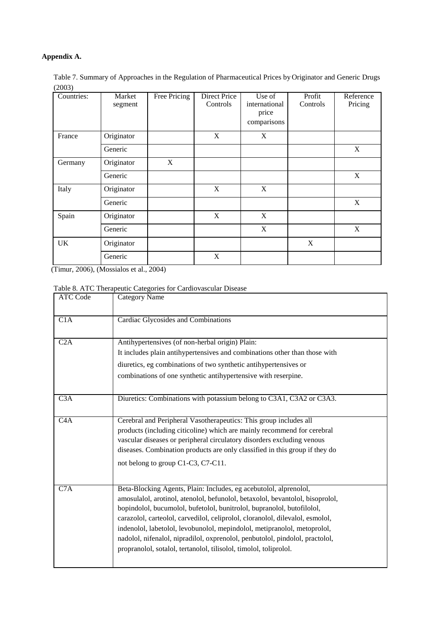# **Appendix A.**

| Table 7. Summary of Approaches in the Regulation of Pharmaceutical Prices by Originator and Generic Drugs |  |  |  |
|-----------------------------------------------------------------------------------------------------------|--|--|--|
| (2003)                                                                                                    |  |  |  |
|                                                                                                           |  |  |  |

| Countries: | Market<br>segment | Free Pricing | Direct Price<br>Controls | Use of<br>international<br>price<br>comparisons | Profit<br>Controls | Reference<br>Pricing |
|------------|-------------------|--------------|--------------------------|-------------------------------------------------|--------------------|----------------------|
| France     | Originator        |              | X                        | X                                               |                    |                      |
|            | Generic           |              |                          |                                                 |                    | X                    |
| Germany    | Originator        | X            |                          |                                                 |                    |                      |
|            | Generic           |              |                          |                                                 |                    | X                    |
| Italy      | Originator        |              | X                        | X                                               |                    |                      |
|            | Generic           |              |                          |                                                 |                    | X                    |
| Spain      | Originator        |              | X                        | X                                               |                    |                      |
|            | Generic           |              |                          | X                                               |                    | X                    |
| UK         | Originator        |              |                          |                                                 | X                  |                      |
|            | Generic           |              | X                        |                                                 |                    |                      |

(Timur, 2006), (Mossialos et al., 2004)

# Table 8. ATC Therapeutic Categories for Cardiovascular Disease

| <b>ATC Code</b> | <b>Category Name</b>                                                                                                                                     |
|-----------------|----------------------------------------------------------------------------------------------------------------------------------------------------------|
| C1A             | Cardiac Glycosides and Combinations                                                                                                                      |
| C2A             | Antihypertensives (of non-herbal origin) Plain:                                                                                                          |
|                 | It includes plain antihypertensives and combinations other than those with                                                                               |
|                 | diuretics, eg combinations of two synthetic antihypertensives or                                                                                         |
|                 | combinations of one synthetic antihypertensive with reserpine.                                                                                           |
|                 |                                                                                                                                                          |
| C3A             | Diuretics: Combinations with potassium belong to C3A1, C3A2 or C3A3.                                                                                     |
| C4A             | Cerebral and Peripheral Vasotherapeutics: This group includes all                                                                                        |
|                 | products (including citicoline) which are mainly recommend for cerebral                                                                                  |
|                 | vascular diseases or peripheral circulatory disorders excluding venous                                                                                   |
|                 | diseases. Combination products are only classified in this group if they do                                                                              |
|                 | not belong to group C1-C3, C7-C11.                                                                                                                       |
|                 |                                                                                                                                                          |
| C7A             | Beta-Blocking Agents, Plain: Includes, eg acebutolol, alprenolol,                                                                                        |
|                 | amosulalol, arotinol, atenolol, befunolol, betaxolol, bevantolol, bisoprolol,                                                                            |
|                 | bopindolol, bucumolol, bufetolol, bunitrolol, bupranolol, butofilolol,                                                                                   |
|                 | carazolol, carteolol, carvedilol, celiprolol, cloranolol, dilevalol, esmolol,                                                                            |
|                 | indenolol, labetolol, levobunolol, mepindolol, metipranolol, metoprolol,<br>nadolol, nifenalol, nipradilol, oxprenolol, penbutolol, pindolol, practolol, |
|                 | propranolol, sotalol, tertanolol, tilisolol, timolol, toliprolol.                                                                                        |
|                 |                                                                                                                                                          |
|                 |                                                                                                                                                          |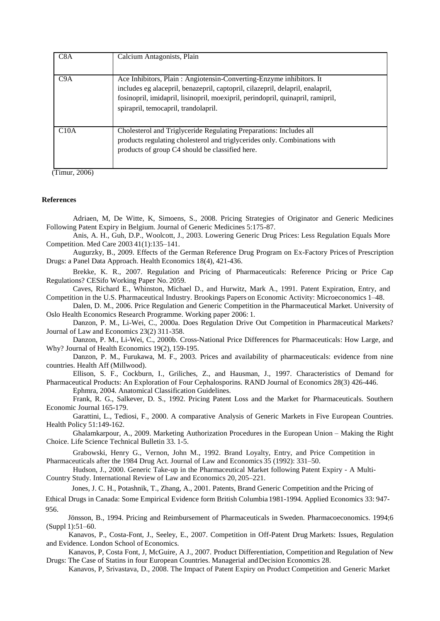| C8A  | Calcium Antagonists, Plain                                                                                                                                                                                                                                                       |
|------|----------------------------------------------------------------------------------------------------------------------------------------------------------------------------------------------------------------------------------------------------------------------------------|
| C9A  | Ace Inhibitors, Plain: Angiotensin-Converting-Enzyme inhibitors. It<br>includes eg alacepril, benazepril, captopril, cilazepril, delapril, enalapril,<br>fosinopril, imidapril, lisinopril, moexipril, perindopril, quinapril, ramipril,<br>spirapril, temocapril, trandolapril. |
| C10A | Cholesterol and Triglyceride Regulating Preparations: Includes all<br>products regulating cholesterol and triglycerides only. Combinations with<br>products of group C4 should be classified here.                                                                               |

(Timur, 2006)

#### **References**

Adriaen, M, De Witte, K, Simoens, S., 2008. Pricing Strategies of Originator and Generic Medicines Following Patent Expiry in Belgium. Journal of Generic Medicines 5:175-87.

Anis, A. H., Guh, D.P., Woolcott, J., 2003. Lowering Generic Drug Prices: Less Regulation Equals More Competition. Med Care 2003 41(1):135–141.

Augurzky, B., 2009. [Effects of the German Reference Drug Program on Ex-Factory Prices](http://ideas.repec.org/a/wly/hlthec/v18y2009i4p421-436.html) of [Prescription](http://ideas.repec.org/a/wly/hlthec/v18y2009i4p421-436.html)  [Drugs: a Panel Data Approach.](http://ideas.repec.org/a/wly/hlthec/v18y2009i4p421-436.html) [Health Economics](http://ideas.repec.org/s/wly/hlthec.html) 18(4), 421-436.

Brekke, K. R., 2007. Regulation and Pricing of Pharmaceuticals: Reference Pricing or Price Cap Regulations? CESifo Working Paper No. 2059.

Caves, Richard E., Whinston, Michael D., and Hurwitz, Mark A., 1991. Patent Expiration, Entry, and Competition in the U.S. Pharmaceutical Industry. Brookings Papers on Economic Activity: Microeconomics 1–48.

Dalen, D. M., 2006. Price Regulation and Generic Competition in the Pharmaceutical Market. University of Oslo Health Economics Research Programme. Working paper 2006: 1.

Danzon, P. M., Li-Wei, C., 2000a. Does Regulation Drive Out Competition in Pharmaceutical Markets? Journal of Law and Economics 23(2) 311-358.

Danzon, P. M., Li-Wei, C., 2000b. Cross-National Price Differences for Pharmaceuticals: How Large, and Why? Journal of Health Economics 19(2), 159-195.

Danzon, P. M., Furukawa, M. F., 2003. Prices and availability of pharmaceuticals: evidence from nine countries. [Health Aff \(Millwood\).](http://www.ncbi.nlm.nih.gov/pubmed/15506157)

Ellison, S. F., Cockburn, I., Griliches, Z., and Hausman, J., 1997. [Characteristics of Demand for](http://economics.mit.edu/files/7214)  [Pharmaceutical Products: An Exploration of Four Cephalosporins. R](http://economics.mit.edu/files/7214)AND Journal of Economics 28(3) 426-446. Ephmra, 2004. Anatomical Classification Guidelines.

Frank, R. G., Salkever, D. S., 1992. Pricing Patent Loss and the Market for Pharmaceuticals. Southern Economic Journal 165-179.

Garattini, L., Tediosi, F., 2000. A comparative Analysis of Generic Markets in Five European Countries. Health Policy 51:149-162.

Ghalamkarpour, A., 2009. Marketing Authorization Procedures in the European Union – Making the Right Choice. Life Science Technical Bulletin 33. 1-5.

Grabowski, Henry G., Vernon, John M., 1992. Brand Loyalty, Entry, and Price Competition in Pharmaceuticals after the 1984 Drug Act. Journal of Law and Economics 35 (1992): 331–50.

Hudson, J., 2000. Generic Take-up in the Pharmaceutical Market following Patent Expiry - A Multi-Country Study. International Review of Law and Economics 20, 205–221.

Jones, J. C. H., Potashnik, T., Zhang, A., 2001. Patents, Brand Generic Competition and the Pricing of

 Ethical Drugs in Canada: Some Empirical Evidence form British Columbia 1981-1994. Applied Economics 33: 947- 956.

Jönsson, B., 1994. Pricing and Reimbursement of Pharmaceuticals in Sweden. Pharmacoeconomics. 1994;6 (Suppl 1):51–60.

 Kanavos, P., Costa-Font, J., Seeley, E., 2007. Competition in Off-Patent Drug Markets: Issues, Regulation and Evidence. London School of Economics.

 Kanavos, P, Costa Font, J, McGuire, A J., 2007. Product Differentiation, Competition and Regulation of New Drugs: The Case of Statins in four European Countries. Managerial andDecision Economics 28.

Kanavos, P, Srivastava, D., 2008. The Impact of Patent Expiry on Product Competition and Generic Market